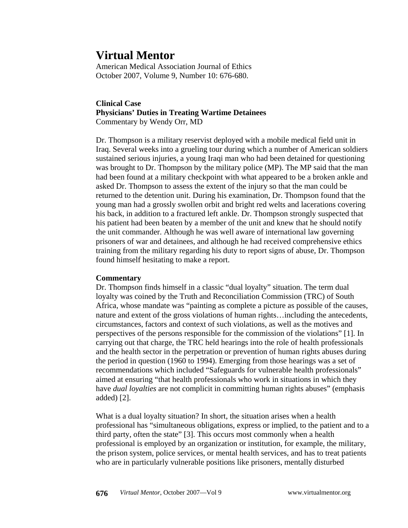**Virtual Mentor**<br>American Medical Association Journal of Ethics October 2007, Volume 9, Number 10: 676-680.

# **Clinical Case Physicians' Duties in Treating Wartime Detainees**  Commentary by Wendy Orr, MD

Dr. Thompson is a military reservist deployed with a mobile medical field unit in Iraq. Several weeks into a grueling tour during which a number of American soldiers sustained serious injuries, a young Iraqi man who had been detained for questioning was brought to Dr. Thompson by the military police (MP). The MP said that the man had been found at a military checkpoint with what appeared to be a broken ankle and asked Dr. Thompson to assess the extent of the injury so that the man could be returned to the detention unit. During his examination, Dr. Thompson found that the young man had a grossly swollen orbit and bright red welts and lacerations covering his back, in addition to a fractured left ankle. Dr. Thompson strongly suspected that his patient had been beaten by a member of the unit and knew that he should notify the unit commander. Although he was well aware of international law governing prisoners of war and detainees, and although he had received comprehensive ethics training from the military regarding his duty to report signs of abuse, Dr. Thompson found himself hesitating to make a report.

## **Commentary**

Dr. Thompson finds himself in a classic "dual loyalty" situation. The term dual loyalty was coined by the Truth and Reconciliation Commission (TRC) of South Africa, whose mandate was "painting as complete a picture as possible of the causes, nature and extent of the gross violations of human rights…including the antecedents, circumstances, factors and context of such violations, as well as the motives and perspectives of the persons responsible for the commission of the violations" [1]. In carrying out that charge, the TRC held hearings into the role of health professionals and the health sector in the perpetration or prevention of human rights abuses during the period in question (1960 to 1994). Emerging from those hearings was a set of recommendations which included "Safeguards for vulnerable health professionals" aimed at ensuring "that health professionals who work in situations in which they have *dual loyalties* are not complicit in committing human rights abuses" (emphasis added) [2].

What is a dual loyalty situation? In short, the situation arises when a health professional has "simultaneous obligations, express or implied, to the patient and to a third party, often the state" [3]. This occurs most commonly when a health professional is employed by an organization or institution, for example, the military, the prison system, police services, or mental health services, and has to treat patients who are in particularly vulnerable positions like prisoners, mentally disturbed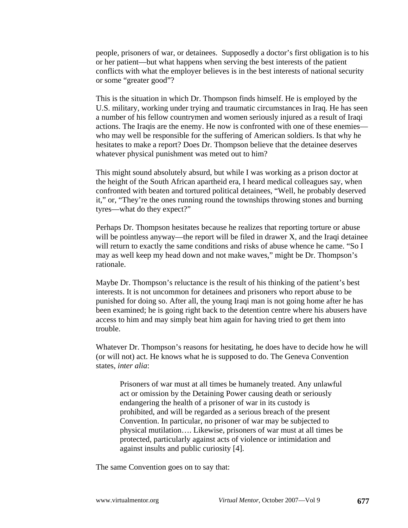people, prisoners of war, or detainees. Supposedly a doctor's first obligation is to his or her patient—but what happens when serving the best interests of the patient conflicts with what the employer believes is in the best interests of national security or some "greater good"?

This is the situation in which Dr. Thompson finds himself. He is employed by the U.S. military, working under trying and traumatic circumstances in Iraq. He has seen a number of his fellow countrymen and women seriously injured as a result of Iraqi actions. The Iraqis are the enemy. He now is confronted with one of these enemies who may well be responsible for the suffering of American soldiers. Is that why he hesitates to make a report? Does Dr. Thompson believe that the detainee deserves whatever physical punishment was meted out to him?

This might sound absolutely absurd, but while I was working as a prison doctor at the height of the South African apartheid era, I heard medical colleagues say, when confronted with beaten and tortured political detainees, "Well, he probably deserved it," or, "They're the ones running round the townships throwing stones and burning tyres—what do they expect?"

Perhaps Dr. Thompson hesitates because he realizes that reporting torture or abuse will be pointless anyway—the report will be filed in drawer X, and the Iraqi detainee will return to exactly the same conditions and risks of abuse whence he came. "So I may as well keep my head down and not make waves," might be Dr. Thompson's rationale.

Maybe Dr. Thompson's reluctance is the result of his thinking of the patient's best interests. It is not uncommon for detainees and prisoners who report abuse to be punished for doing so. After all, the young Iraqi man is not going home after he has been examined; he is going right back to the detention centre where his abusers have access to him and may simply beat him again for having tried to get them into trouble.

Whatever Dr. Thompson's reasons for hesitating, he does have to decide how he will (or will not) act. He knows what he is supposed to do. The Geneva Convention states, *inter alia*:

Prisoners of war must at all times be humanely treated. Any unlawful act or omission by the Detaining Power causing death or seriously endangering the health of a prisoner of war in its custody is prohibited, and will be regarded as a serious breach of the present Convention. In particular, no prisoner of war may be subjected to physical mutilation…. Likewise, prisoners of war must at all times be protected, particularly against acts of violence or intimidation and against insults and public curiosity [4].

The same Convention goes on to say that: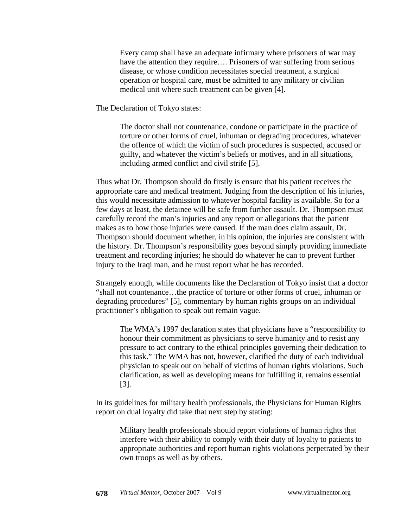Every camp shall have an adequate infirmary where prisoners of war may have the attention they require.... Prisoners of war suffering from serious disease, or whose condition necessitates special treatment, a surgical operation or hospital care, must be admitted to any military or civilian medical unit where such treatment can be given [4].

The Declaration of Tokyo states:

The doctor shall not countenance, condone or participate in the practice of torture or other forms of cruel, inhuman or degrading procedures, whatever the offence of which the victim of such procedures is suspected, accused or guilty, and whatever the victim's beliefs or motives, and in all situations, including armed conflict and civil strife [5].

Thus what Dr. Thompson should do firstly is ensure that his patient receives the appropriate care and medical treatment. Judging from the description of his injuries, this would necessitate admission to whatever hospital facility is available. So for a few days at least, the detainee will be safe from further assault. Dr. Thompson must carefully record the man's injuries and any report or allegations that the patient makes as to how those injuries were caused. If the man does claim assault, Dr. Thompson should document whether, in his opinion, the injuries are consistent with the history. Dr. Thompson's responsibility goes beyond simply providing immediate treatment and recording injuries; he should do whatever he can to prevent further injury to the Iraqi man, and he must report what he has recorded.

Strangely enough, while documents like the Declaration of Tokyo insist that a doctor "shall not countenance…the practice of torture or other forms of cruel, inhuman or degrading procedures" [5], commentary by human rights groups on an individual practitioner's obligation to speak out remain vague.

The WMA's 1997 declaration states that physicians have a "responsibility to honour their commitment as physicians to serve humanity and to resist any pressure to act contrary to the ethical principles governing their dedication to this task." The WMA has not, however, clarified the duty of each individual physician to speak out on behalf of victims of human rights violations. Such clarification, as well as developing means for fulfilling it, remains essential [3].

In its guidelines for military health professionals, the Physicians for Human Rights report on dual loyalty did take that next step by stating:

Military health professionals should report violations of human rights that interfere with their ability to comply with their duty of loyalty to patients to appropriate authorities and report human rights violations perpetrated by their own troops as well as by others.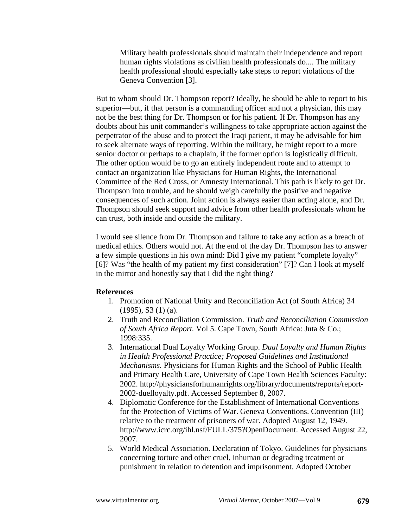Military health professionals should maintain their independence and report human rights violations as civilian health professionals do.... The military health professional should especially take steps to report violations of the Geneva Convention [3].

But to whom should Dr. Thompson report? Ideally, he should be able to report to his superior—but, if that person is a commanding officer and not a physician, this may not be the best thing for Dr. Thompson or for his patient. If Dr. Thompson has any doubts about his unit commander's willingness to take appropriate action against the perpetrator of the abuse and to protect the Iraqi patient, it may be advisable for him to seek alternate ways of reporting. Within the military, he might report to a more senior doctor or perhaps to a chaplain, if the former option is logistically difficult. The other option would be to go an entirely independent route and to attempt to contact an organization like Physicians for Human Rights, the International Committee of the Red Cross, or Amnesty International. This path is likely to get Dr. Thompson into trouble, and he should weigh carefully the positive and negative consequences of such action. Joint action is always easier than acting alone, and Dr. Thompson should seek support and advice from other health professionals whom he can trust, both inside and outside the military.

I would see silence from Dr. Thompson and failure to take any action as a breach of medical ethics. Others would not. At the end of the day Dr. Thompson has to answer a few simple questions in his own mind: Did I give my patient "complete loyalty" [6]? Was "the health of my patient my first consideration" [7]? Can I look at myself in the mirror and honestly say that I did the right thing?

### **References**

- 1. Promotion of National Unity and Reconciliation Act (of South Africa) 34  $(1995)$ , S3 $(1)$  $(a)$ .
- 2. Truth and Reconciliation Commission. *Truth and Reconciliation Commission of South Africa Report.* Vol 5. Cape Town, South Africa: Juta & Co.; 1998:335.
- 3. International Dual Loyalty Working Group. *Dual Loyalty and Human Rights in Health Professional Practice; Proposed Guidelines and Institutional Mechanisms.* Physicians for Human Rights and the School of Public Health and Primary Health Care, University of Cape Town Health Sciences Faculty: 2002. http://physiciansforhumanrights.org/library/documents/reports/report-2002-duelloyalty.pdf. Accessed September 8, 2007.
- 4. Diplomatic Conference for the Establishment of International Conventions for the Protection of Victims of War. Geneva Conventions. Convention (III) relative to the treatment of prisoners of war. Adopted August 12, 1949. http://www.icrc.org/ihl.nsf/FULL/375?OpenDocument. Accessed August 22, 2007.
- 5. World Medical Association. Declaration of Tokyo. Guidelines for physicians concerning torture and other cruel, inhuman or degrading treatment or punishment in relation to detention and imprisonment. Adopted October